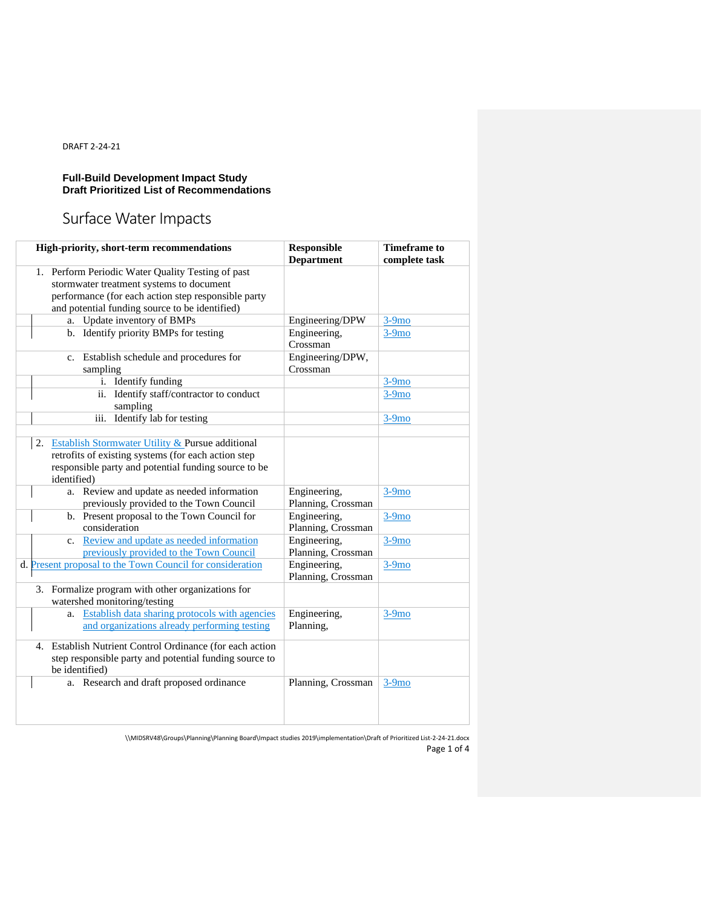#### **Full-Build Development Impact Study Draft Prioritized List of Recommendations**

# Surface Water Impacts

| High-priority, short-term recommendations                                                                                                                                                              | <b>Responsible</b><br><b>Department</b> | <b>Timeframe</b> to<br>complete task |  |
|--------------------------------------------------------------------------------------------------------------------------------------------------------------------------------------------------------|-----------------------------------------|--------------------------------------|--|
| 1. Perform Periodic Water Quality Testing of past<br>stormwater treatment systems to document<br>performance (for each action step responsible party<br>and potential funding source to be identified) |                                         |                                      |  |
| Update inventory of BMPs<br>a.                                                                                                                                                                         | Engineering/DPW                         | $3-9mo$                              |  |
| b. Identify priority BMPs for testing                                                                                                                                                                  | Engineering,<br>Crossman                | $3-9mo$                              |  |
| c. Establish schedule and procedures for<br>sampling                                                                                                                                                   | Engineering/DPW,<br>Crossman            |                                      |  |
| i. Identify funding                                                                                                                                                                                    |                                         | $3-9mo$                              |  |
| Identify staff/contractor to conduct<br>ii.<br>sampling                                                                                                                                                |                                         | $3-9mo$                              |  |
| Identify lab for testing<br>iii.                                                                                                                                                                       |                                         | $3-9mo$                              |  |
|                                                                                                                                                                                                        |                                         |                                      |  |
| Establish Stormwater Utility & Pursue additional<br>2.<br>retrofits of existing systems (for each action step<br>responsible party and potential funding source to be<br>identified)                   |                                         |                                      |  |
| Review and update as needed information<br>a.<br>previously provided to the Town Council                                                                                                               | Engineering,<br>Planning, Crossman      | $3-9mo$                              |  |
| b. Present proposal to the Town Council for<br>consideration                                                                                                                                           | Engineering,<br>Planning, Crossman      | $3-9mo$                              |  |
| c. Review and update as needed information<br>previously provided to the Town Council                                                                                                                  | Engineering,<br>Planning, Crossman      | $3-9mo$                              |  |
| d. Present proposal to the Town Council for consideration                                                                                                                                              | Engineering,<br>Planning, Crossman      | $3-9mo$                              |  |
| 3. Formalize program with other organizations for<br>watershed monitoring/testing                                                                                                                      |                                         |                                      |  |
| <b>Establish data sharing protocols with agencies</b><br>a.<br>and organizations already performing testing                                                                                            | Engineering,<br>Planning,               | $3-9mo$                              |  |
| 4. Establish Nutrient Control Ordinance (for each action<br>step responsible party and potential funding source to<br>be identified)                                                                   |                                         |                                      |  |
| a. Research and draft proposed ordinance                                                                                                                                                               | Planning, Crossman                      | $3-9mo$                              |  |

\\MIDSRV48\Groups\Planning\Planning Board\Impact studies 2019\implementation\Draft of Prioritized List-2-24-21.docx Page 1 of 4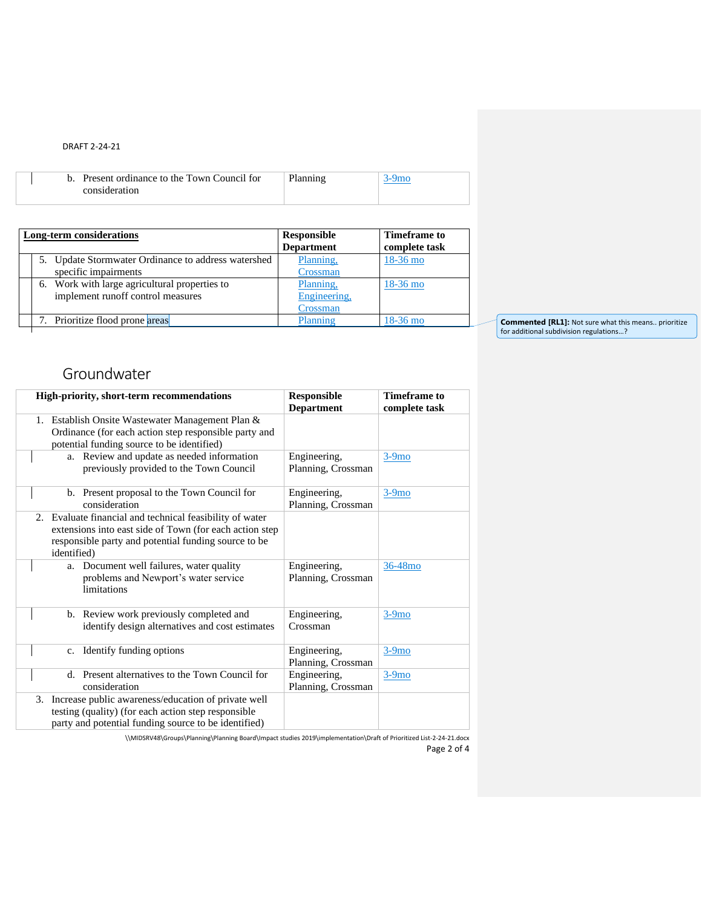|  | b. Present ordinance to the Town Council for |  |
|--|----------------------------------------------|--|
|  | consideration                                |  |

| Long-term considerations                                                           | <b>Responsible</b><br><b>Department</b> | Timeframe to<br>complete task |
|------------------------------------------------------------------------------------|-----------------------------------------|-------------------------------|
| 5. Update Stormwater Ordinance to address watershed<br>specific impairments        | Planning,<br>Crossman                   | $18-36$ mo                    |
| 6. Work with large agricultural properties to<br>implement runoff control measures | Planning,<br>Engineering,<br>Crossman   | $18-36$ mo                    |
| 7. Prioritize flood prone areas                                                    | Planning                                | $18-36$ mo                    |

**Commented [RL1]:** Not sure what this means.. prioritize for additional subdivision regulations…?

### Groundwater

| High-priority, short-term recommendations                                                                                                                                                   | <b>Responsible</b><br><b>Department</b> | <b>Timeframe</b> to<br>complete task |
|---------------------------------------------------------------------------------------------------------------------------------------------------------------------------------------------|-----------------------------------------|--------------------------------------|
| 1. Establish Onsite Wastewater Management Plan &<br>Ordinance (for each action step responsible party and<br>potential funding source to be identified)                                     |                                         |                                      |
| a. Review and update as needed information<br>previously provided to the Town Council                                                                                                       | Engineering,<br>Planning, Crossman      | $3-9mo$                              |
| b. Present proposal to the Town Council for<br>consideration                                                                                                                                | Engineering,<br>Planning, Crossman      | $3-9mo$                              |
| 2. Evaluate financial and technical feasibility of water<br>extensions into east side of Town (for each action step)<br>responsible party and potential funding source to be<br>identified) |                                         |                                      |
| a. Document well failures, water quality<br>problems and Newport's water service<br>limitations                                                                                             | Engineering,<br>Planning, Crossman      | 36-48 <sub>mo</sub>                  |
| b. Review work previously completed and<br>identify design alternatives and cost estimates                                                                                                  | Engineering,<br>Crossman                | $3-9mo$                              |
| c. Identify funding options                                                                                                                                                                 | Engineering,<br>Planning, Crossman      | $3-9mo$                              |
| d. Present alternatives to the Town Council for<br>consideration                                                                                                                            | Engineering,<br>Planning, Crossman      | $3-9mo$                              |
| 3. Increase public awareness/education of private well<br>testing (quality) (for each action step responsible<br>party and potential funding source to be identified)                       |                                         |                                      |

\\MIDSRV48\Groups\Planning\Planning Board\Impact studies 2019\implementation\Draft of Prioritized List-2-24-21.docx Page 2 of 4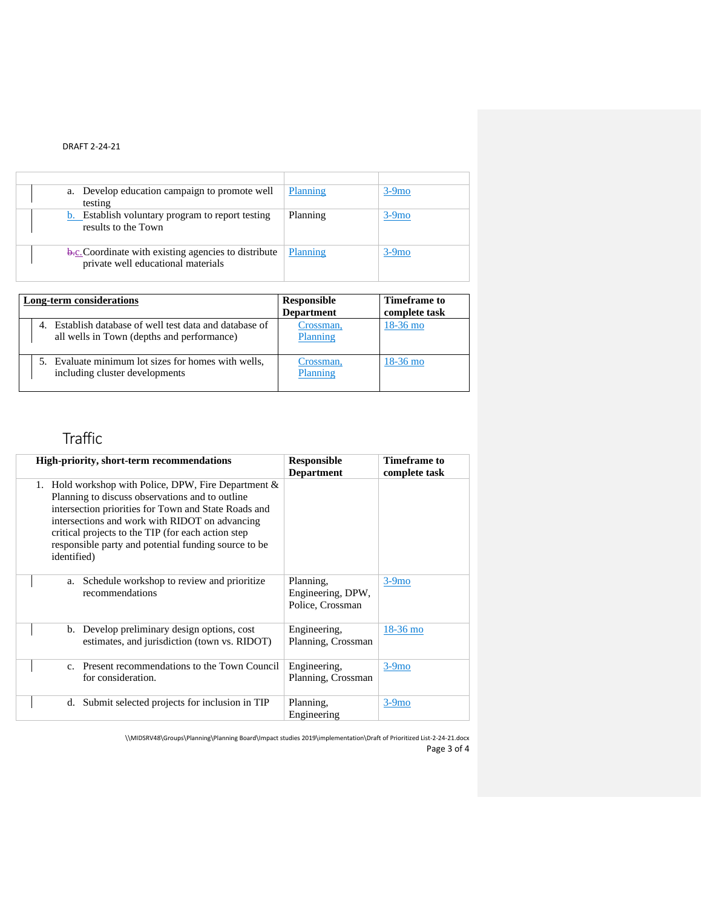| Develop education campaign to promote well<br>a.<br>testing                                       | Planning | $3-9mo$ |
|---------------------------------------------------------------------------------------------------|----------|---------|
| <b>b.</b> Establish voluntary program to report testing<br>results to the Town                    | Planning | $3-9mo$ |
| <b>b.c.</b> Coordinate with existing agencies to distribute<br>private well educational materials | Planning | $3-9mo$ |

| <b>Long-term considerations</b>                                                                    | Responsible<br><b>Department</b> | Timeframe to<br>complete task |
|----------------------------------------------------------------------------------------------------|----------------------------------|-------------------------------|
| Establish database of well test data and database of<br>all wells in Town (depths and performance) | Crossman,<br>Planning            | $18-36$ mo                    |
| 5. Evaluate minimum lot sizes for homes with wells,<br>including cluster developments              | Crossman,<br>Planning            | $18-36$ mo                    |

## Traffic

|             | <b>High-priority, short-term recommendations</b>                                                                                                                                                                                                                                                                                    | <b>Responsible</b><br><b>Department</b>            | Timeframe to<br>complete task |
|-------------|-------------------------------------------------------------------------------------------------------------------------------------------------------------------------------------------------------------------------------------------------------------------------------------------------------------------------------------|----------------------------------------------------|-------------------------------|
| identified) | 1. Hold workshop with Police, DPW, Fire Department $\&$<br>Planning to discuss observations and to outline<br>intersection priorities for Town and State Roads and<br>intersections and work with RIDOT on advancing<br>critical projects to the TIP (for each action step)<br>responsible party and potential funding source to be |                                                    |                               |
| a.          | Schedule workshop to review and prioritize<br>recommendations                                                                                                                                                                                                                                                                       | Planning,<br>Engineering, DPW,<br>Police, Crossman | $3-9mo$                       |
|             | b. Develop preliminary design options, cost<br>estimates, and jurisdiction (town vs. RIDOT)                                                                                                                                                                                                                                         | Engineering,<br>Planning, Crossman                 | $18-36$ mo                    |
| $c_{\cdot}$ | Present recommendations to the Town Council<br>for consideration.                                                                                                                                                                                                                                                                   | Engineering,<br>Planning, Crossman                 | $3-9mo$                       |
| d.          | Submit selected projects for inclusion in TIP                                                                                                                                                                                                                                                                                       | Planning,<br>Engineering                           | $3-9mo$                       |

\\MIDSRV48\Groups\Planning\Planning Board\Impact studies 2019\implementation\Draft of Prioritized List-2-24-21.docx Page 3 of 4